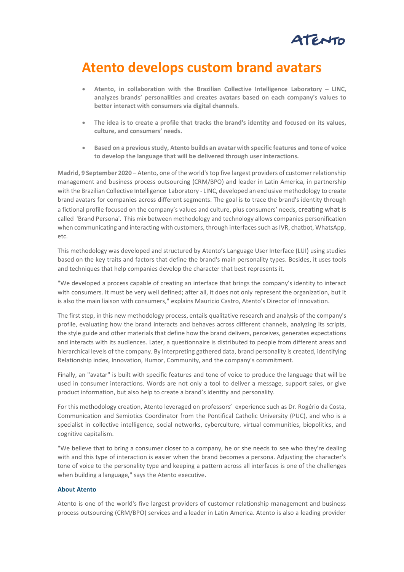

## **Atento develops custom brand avatars**

- **Atento, in collaboration with the Brazilian Collective Intelligence Laboratory – LINC, analyzes brands' personalities and creates avatars based on each company's values to better interact with consumers via digital channels.**
- **The idea is to create a profile that tracks the brand's identity and focused on its values, culture, and consumers' needs.**
- **Based on a previous study, Atento builds an avatar with specific features and tone of voice to develop the language that will be delivered through user interactions.**

**Madrid, 9 September 2020** – Atento, one of the world'stop five largest providers of customer relationship management and business process outsourcing (CRM/BPO) and leader in Latin America, in partnership with the Brazilian Collective Intelligence Laboratory - LINC, developed an exclusive methodology to create brand avatars for companies across different segments. The goal is to trace the brand's identity through a fictional profile focused on the company's values and culture, plus consumers' needs, creating what is called 'Brand Persona'. This mix between methodology and technology allows companies personification when communicating and interacting with customers, through interfaces such as IVR, chatbot, WhatsApp, etc.

This methodology was developed and structured by Atento's Language User Interface (LUI) using studies based on the key traits and factors that define the brand's main personality types. Besides, it uses tools and techniques that help companies develop the character that best represents it.

"We developed a process capable of creating an interface that brings the company's identity to interact with consumers. It must be very well defined; after all, it does not only represent the organization, but it is also the main liaison with consumers," explains Mauricio Castro, Atento's Director of Innovation.

The first step, in this new methodology process, entails qualitative research and analysis of the company's profile, evaluating how the brand interacts and behaves across different channels, analyzing its scripts, the style guide and other materials that define how the brand delivers, perceives, generates expectations and interacts with its audiences. Later, a questionnaire is distributed to people from different areas and hierarchical levels of the company. By interpreting gathered data, brand personality is created, identifying Relationship index, Innovation, Humor, Community, and the company's commitment.

Finally, an "avatar" is built with specific features and tone of voice to produce the language that will be used in consumer interactions. Words are not only a tool to deliver a message, support sales, or give product information, but also help to create a brand's identity and personality.

For this methodology creation, Atento leveraged on professors' experience such as Dr. Rogério da Costa, Communication and Semiotics Coordinator from the Pontifical Catholic University (PUC), and who is a specialist in collective intelligence, social networks, cyberculture, virtual communities, biopolitics, and cognitive capitalism.

"We believe that to bring a consumer closer to a company, he or she needs to see who they're dealing with and this type of interaction is easier when the brand becomes a persona. Adjusting the character's tone of voice to the personality type and keeping a pattern across all interfaces is one of the challenges when building a language," says the Atento executive.

## **About Atento**

Atento is one of the world's five largest providers of customer relationship management and business process outsourcing (CRM/BPO) services and a leader in Latin America. Atento is also a leading provider